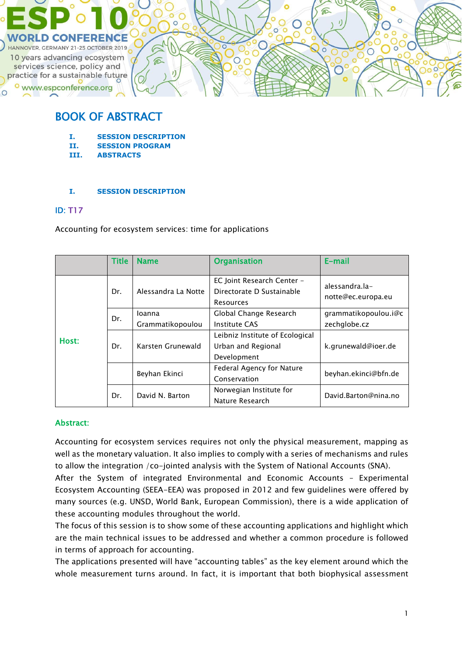

# BOOK OF ABSTRACT

- **I. SESSION DESCRIPTION**
- **II. SESSION PROGRAM**
- **III. ABSTRACTS**

#### **I. SESSION DESCRIPTION**

### ID: T17

Accounting for ecosystem services: time for applications

|       | <b>Title</b> | <b>Name</b>                | <b>Organisation</b>                                                  | $E$ -mail                            |  |
|-------|--------------|----------------------------|----------------------------------------------------------------------|--------------------------------------|--|
| Host: | Dr.          | Alessandra La Notte        | EC Joint Research Center -<br>Directorate D Sustainable<br>Resources | alessandra.la-<br>notte@ec.europa.eu |  |
|       | Dr.          | loanna<br>Grammatikopoulou | Global Change Research<br>Institute CAS                              | qrammatikopoulou.i@c<br>zechglobe.cz |  |
|       | Dr.          | Karsten Grunewald          | Leibniz Institute of Ecological<br>Urban and Regional<br>Development | k.grunewald@ioer.de                  |  |
|       |              | Beyhan Ekinci              | Federal Agency for Nature<br>Conservation                            | beyhan.ekinci@bfn.de                 |  |
|       | Dr.          | David N. Barton            | Norwegian Institute for<br>Nature Research                           | David.Barton@nina.no                 |  |

### Abstract:

Accounting for ecosystem services requires not only the physical measurement, mapping as well as the monetary valuation. It also implies to comply with a series of mechanisms and rules to allow the integration /co-jointed analysis with the System of National Accounts (SNA).

After the System of integrated Environmental and Economic Accounts – Experimental Ecosystem Accounting (SEEA-EEA) was proposed in 2012 and few guidelines were offered by many sources (e.g. UNSD, World Bank, European Commission), there is a wide application of these accounting modules throughout the world.

The focus of this session is to show some of these accounting applications and highlight which are the main technical issues to be addressed and whether a common procedure is followed in terms of approach for accounting.

The applications presented will have "accounting tables" as the key element around which the whole measurement turns around. In fact, it is important that both biophysical assessment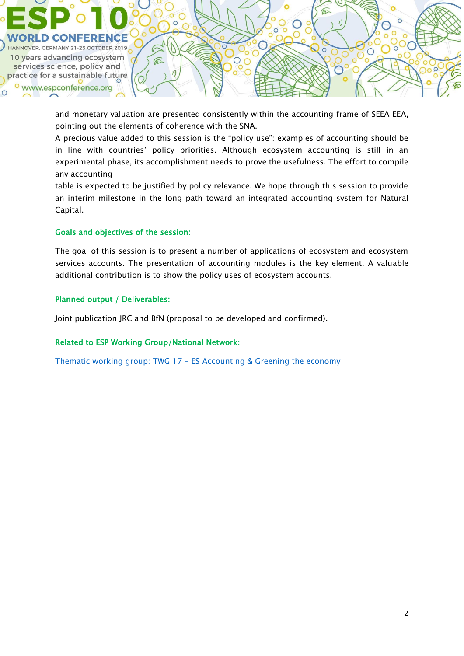

and monetary valuation are presented consistently within the accounting frame of SEEA EEA, pointing out the elements of coherence with the SNA.

A precious value added to this session is the "policy use": examples of accounting should be in line with countries' policy priorities. Although ecosystem accounting is still in an experimental phase, its accomplishment needs to prove the usefulness. The effort to compile any accounting

table is expected to be justified by policy relevance. We hope through this session to provide an interim milestone in the long path toward an integrated accounting system for Natural Capital.

### Goals and objectives of the session:

The goal of this session is to present a number of applications of ecosystem and ecosystem services accounts. The presentation of accounting modules is the key element. A valuable additional contribution is to show the policy uses of ecosystem accounts.

### Planned output / Deliverables:

Joint publication JRC and BfN (proposal to be developed and confirmed).

### Related to ESP Working Group/National Network:

Thematic working group: TWG 17 – [ES Accounting & Greening the economy](https://www.es-partnership.org/community/workings-groups/thematic-working-groups/twg-17-es-accounting-greening-the-economy/)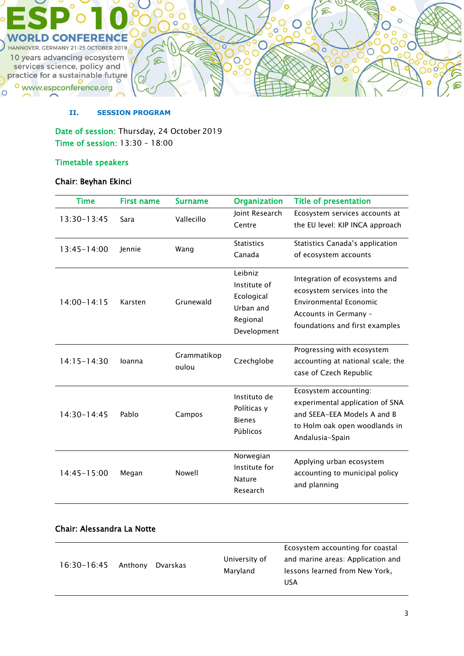

### **II. SESSION PROGRAM**

Date of session: Thursday, 24 October 2019 Time of session: 13:30 – 18:00

### Timetable speakers

### Chair: Beyhan Ekinci

| <b>Time</b>     | <b>First name</b> | <b>Surname</b>       | <b>Organization</b>                                                           | <b>Title of presentation</b>                                                                                                                             |
|-----------------|-------------------|----------------------|-------------------------------------------------------------------------------|----------------------------------------------------------------------------------------------------------------------------------------------------------|
| 13:30-13:45     | Sara              | Vallecillo           | Joint Research<br>Centre                                                      | Ecosystem services accounts at<br>the EU level: KIP INCA approach                                                                                        |
| $13:45 - 14:00$ | Jennie            | Wang                 | <b>Statistics</b><br>Canada                                                   | Statistics Canada's application<br>of ecosystem accounts                                                                                                 |
| $14:00 - 14:15$ | Karsten           | Grunewald            | Leibniz<br>Institute of<br>Ecological<br>Urban and<br>Regional<br>Development | Integration of ecosystems and<br>ecosystem services into the<br><b>Environmental Economic</b><br>Accounts in Germany -<br>foundations and first examples |
| $14:15 - 14:30$ | loanna            | Grammatikop<br>oulou | Czechglobe                                                                    | Progressing with ecosystem<br>accounting at national scale; the<br>case of Czech Republic                                                                |
| 14:30-14:45     | Pablo             | Campos               | Instituto de<br>Políticas y<br><b>Bienes</b><br>Públicos                      | Ecosystem accounting:<br>experimental application of SNA<br>and SEEA-EEA Models A and B<br>to Holm oak open woodlands in<br>Andalusia-Spain              |
| 14:45-15:00     | Megan             | Nowell               | Norwegian<br>Institute for<br><b>Nature</b><br>Research                       | Applying urban ecosystem<br>accounting to municipal policy<br>and planning                                                                               |

### Chair: Alessandra La Notte

|                         |          |               | Ecosystem accounting for coastal  |
|-------------------------|----------|---------------|-----------------------------------|
| $16:30 - 16:45$ Anthony | Dvarskas | University of | and marine areas: Application and |
|                         |          | Marvland      | lessons learned from New York,    |
|                         |          |               | USA                               |
|                         |          |               |                                   |

 $\overline{\circ}$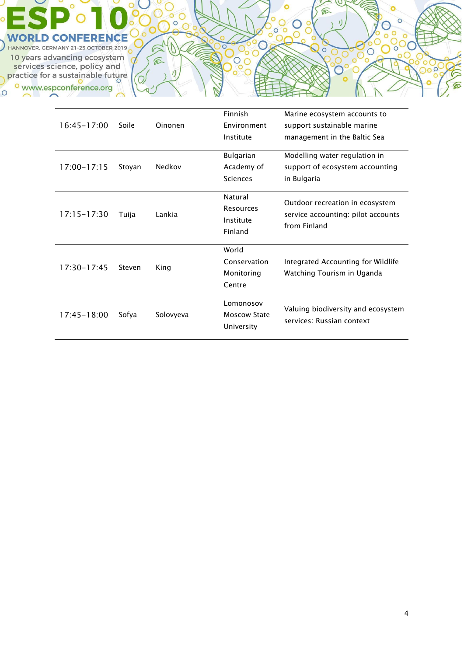

| $16:45 - 17:00$ | Soile  | Oinonen   | Finnish<br>Environment<br>Institute               | Marine ecosystem accounts to<br>support sustainable marine<br>management in the Baltic Sea |
|-----------------|--------|-----------|---------------------------------------------------|--------------------------------------------------------------------------------------------|
| $17:00 - 17:15$ | Stoyan | Nedkov    | <b>Bulgarian</b><br>Academy of<br><b>Sciences</b> | Modelling water regulation in<br>support of ecosystem accounting<br>in Bulgaria            |
| $17:15 - 17:30$ | Tuija  | Lankia    | Natural<br>Resources<br>Institute<br>Finland      | Outdoor recreation in ecosystem<br>service accounting: pilot accounts<br>from Finland      |
| $17:30 - 17:45$ | Steven | King      | World<br>Conservation<br>Monitoring<br>Centre     | Integrated Accounting for Wildlife<br>Watching Tourism in Uganda                           |
| $17:45 - 18:00$ | Sofya  | Solovyeva | Lomonosov<br><b>Moscow State</b><br>University    | Valuing biodiversity and ecosystem<br>services: Russian context                            |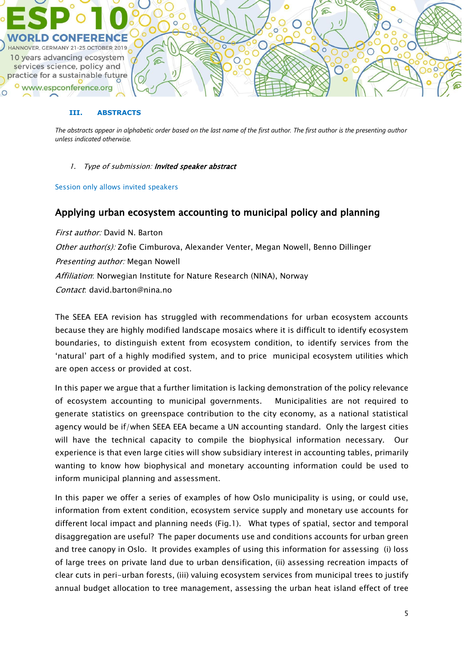

#### **III. ABSTRACTS**

*The abstracts appear in alphabetic order based on the last name of the first author. The first author is the presenting author unless indicated otherwise.*

1. Type of submission: Invited speaker abstract

Session only allows invited speakers

## Applying urban ecosystem accounting to municipal policy and planning

First author: David N. Barton Other author(s): Zofie Cimburova, Alexander Venter, Megan Nowell, Benno Dillinger Presenting author: Megan Nowell Affiliation: Norwegian Institute for Nature Research (NINA), Norway Contact: david.barton@nina.no

The SEEA EEA revision has struggled with recommendations for urban ecosystem accounts because they are highly modified landscape mosaics where it is difficult to identify ecosystem boundaries, to distinguish extent from ecosystem condition, to identify services from the 'natural' part of a highly modified system, and to price municipal ecosystem utilities which are open access or provided at cost.

In this paper we argue that a further limitation is lacking demonstration of the policy relevance of ecosystem accounting to municipal governments. Municipalities are not required to generate statistics on greenspace contribution to the city economy, as a national statistical agency would be if/when SEEA EEA became a UN accounting standard. Only the largest cities will have the technical capacity to compile the biophysical information necessary. Our experience is that even large cities will show subsidiary interest in accounting tables, primarily wanting to know how biophysical and monetary accounting information could be used to inform municipal planning and assessment.

In this paper we offer a series of examples of how Oslo municipality is using, or could use, information from extent condition, ecosystem service supply and monetary use accounts for different local impact and planning needs (Fig.1). What types of spatial, sector and temporal disaggregation are useful? The paper documents use and conditions accounts for urban green and tree canopy in Oslo. It provides examples of using this information for assessing (i) loss of large trees on private land due to urban densification, (ii) assessing recreation impacts of clear cuts in peri-urban forests, (iii) valuing ecosystem services from municipal trees to justify annual budget allocation to tree management, assessing the urban heat island effect of tree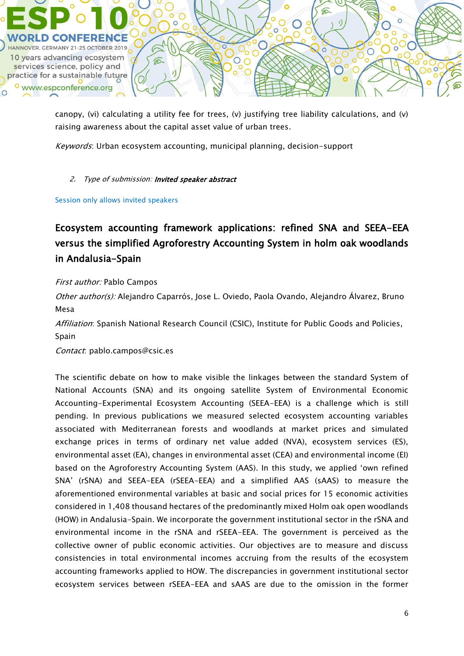

canopy, (vi) calculating a utility fee for trees, (v) justifying tree liability calculations, and (v) raising awareness about the capital asset value of urban trees.

Keywords: Urban ecosystem accounting, municipal planning, decision-support

### 2. Type of submission: Invited speaker abstract

Session only allows invited speakers

Ecosystem accounting framework applications: refined SNA and SEEA-EEA versus the simplified Agroforestry Accounting System in holm oak woodlands in Andalusia-Spain

### First author: Pablo Campos

Other author(s): Alejandro Caparrós, Jose L. Oviedo, Paola Ovando, Alejandro Álvarez, Bruno Mesa

Affiliation: Spanish National Research Council (CSIC), Institute for Public Goods and Policies, Spain

Contact: pablo.campos@csic.es

The scientific debate on how to make visible the linkages between the standard System of National Accounts (SNA) and its ongoing satellite System of Environmental Economic Accounting-Experimental Ecosystem Accounting (SEEA-EEA) is a challenge which is still pending. In previous publications we measured selected ecosystem accounting variables associated with Mediterranean forests and woodlands at market prices and simulated exchange prices in terms of ordinary net value added (NVA), ecosystem services (ES), environmental asset (EA), changes in environmental asset (CEA) and environmental income (EI) based on the Agroforestry Accounting System (AAS). In this study, we applied 'own refined SNA' (rSNA) and SEEA-EEA (rSEEA-EEA) and a simplified AAS (sAAS) to measure the aforementioned environmental variables at basic and social prices for 15 economic activities considered in 1,408 thousand hectares of the predominantly mixed Holm oak open woodlands (HOW) in Andalusia-Spain. We incorporate the government institutional sector in the rSNA and environmental income in the rSNA and rSEEA-EEA. The government is perceived as the collective owner of public economic activities. Our objectives are to measure and discuss consistencies in total environmental incomes accruing from the results of the ecosystem accounting frameworks applied to HOW. The discrepancies in government institutional sector ecosystem services between rSEEA-EEA and sAAS are due to the omission in the former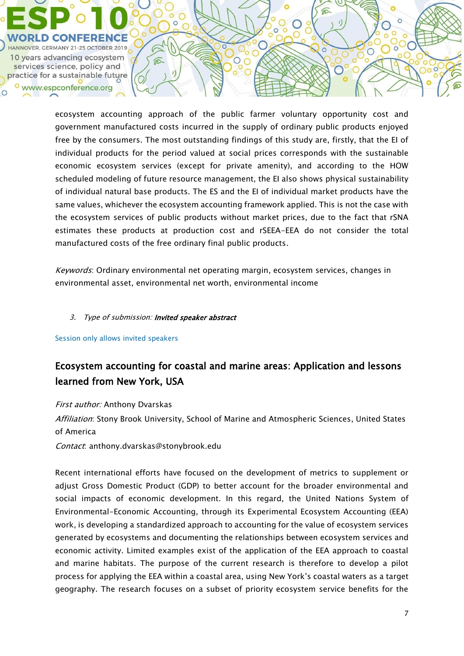

ecosystem accounting approach of the public farmer voluntary opportunity cost and government manufactured costs incurred in the supply of ordinary public products enjoyed free by the consumers. The most outstanding findings of this study are, firstly, that the EI of individual products for the period valued at social prices corresponds with the sustainable economic ecosystem services (except for private amenity), and according to the HOW scheduled modeling of future resource management, the EI also shows physical sustainability of individual natural base products. The ES and the EI of individual market products have the same values, whichever the ecosystem accounting framework applied. This is not the case with the ecosystem services of public products without market prices, due to the fact that rSNA estimates these products at production cost and rSEEA-EEA do not consider the total manufactured costs of the free ordinary final public products.

 $\bigcap$ 

 $\subset$ 

 $\bigcirc$ 

Keywords: Ordinary environmental net operating margin, ecosystem services, changes in environmental asset, environmental net worth, environmental income

#### 3. Type of submission: Invited speaker abstract

Session only allows invited speakers

# Ecosystem accounting for coastal and marine areas: Application and lessons learned from New York, USA

First author: Anthony Dvarskas

Affiliation: Stony Brook University, School of Marine and Atmospheric Sciences, United States of America

Contact: anthony.dvarskas@stonybrook.edu

Recent international efforts have focused on the development of metrics to supplement or adjust Gross Domestic Product (GDP) to better account for the broader environmental and social impacts of economic development. In this regard, the United Nations System of Environmental-Economic Accounting, through its Experimental Ecosystem Accounting (EEA) work, is developing a standardized approach to accounting for the value of ecosystem services generated by ecosystems and documenting the relationships between ecosystem services and economic activity. Limited examples exist of the application of the EEA approach to coastal and marine habitats. The purpose of the current research is therefore to develop a pilot process for applying the EEA within a coastal area, using New York's coastal waters as a target geography. The research focuses on a subset of priority ecosystem service benefits for the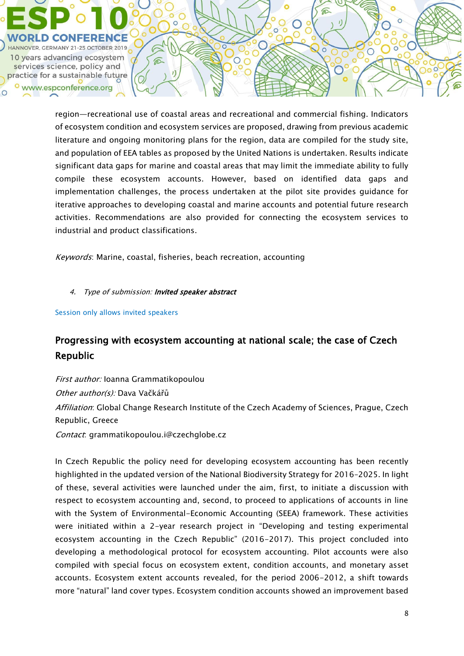

region—recreational use of coastal areas and recreational and commercial fishing. Indicators of ecosystem condition and ecosystem services are proposed, drawing from previous academic literature and ongoing monitoring plans for the region, data are compiled for the study site, and population of EEA tables as proposed by the United Nations is undertaken. Results indicate significant data gaps for marine and coastal areas that may limit the immediate ability to fully compile these ecosystem accounts. However, based on identified data gaps and implementation challenges, the process undertaken at the pilot site provides guidance for iterative approaches to developing coastal and marine accounts and potential future research activities. Recommendations are also provided for connecting the ecosystem services to industrial and product classifications.

 $\subset$ 

 $\bigcirc$ 

Keywords: Marine, coastal, fisheries, beach recreation, accounting

#### 4. Type of submission: Invited speaker abstract

Session only allows invited speakers

# Progressing with ecosystem accounting at national scale; the case of Czech Republic

First author: Ioanna Grammatikopoulou Other author(s): Dava Vačkářů Affiliation: Global Change Research Institute of the Czech Academy of Sciences, Prague, Czech Republic, Greece Contact: grammatikopoulou.i@czechglobe.cz

In Czech Republic the policy need for developing ecosystem accounting has been recently highlighted in the updated version of the National Biodiversity Strategy for 2016–2025. In light of these, several activities were launched under the aim, first, to initiate a discussion with respect to ecosystem accounting and, second, to proceed to applications of accounts in line with the System of Environmental-Economic Accounting (SEEA) framework. These activities were initiated within a 2-year research project in "Developing and testing experimental ecosystem accounting in the Czech Republic" (2016-2017). This project concluded into developing a methodological protocol for ecosystem accounting. Pilot accounts were also compiled with special focus on ecosystem extent, condition accounts, and monetary asset accounts. Ecosystem extent accounts revealed, for the period 2006-2012, a shift towards more "natural" land cover types. Ecosystem condition accounts showed an improvement based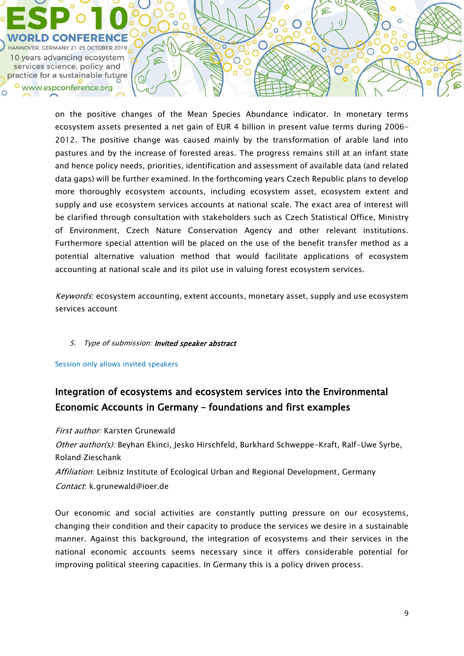

on the positive changes of the Mean Species Abundance indicator. In monetary terms ecosystem assets presented a net gain of EUR 4 billion in present value terms during 2006– 2012. The positive change was caused mainly by the transformation of arable land into pastures and by the increase of forested areas. The progress remains still at an infant state and hence policy needs, priorities, identification and assessment of available data (and related data gaps) will be further examined. In the forthcoming years Czech Republic plans to develop more thoroughly ecosystem accounts, including ecosystem asset, ecosystem extent and supply and use ecosystem services accounts at national scale. The exact area of interest will be clarified through consultation with stakeholders such as Czech Statistical Office, Ministry of Environment, Czech Nature Conservation Agency and other relevant institutions. Furthermore special attention will be placed on the use of the benefit transfer method as a potential alternative valuation method that would facilitate applications of ecosystem accounting at national scale and its pilot use in valuing forest ecosystem services.

 $\subset$ 

 $\bigcirc$ 

Keywords: ecosystem accounting, extent accounts, monetary asset, supply and use ecosystem services account

### 5. Type of submission: Invited speaker abstract

Session only allows invited speakers

# Integration of ecosystems and ecosystem services into the Environmental Economic Accounts in Germany – foundations and first examples

First author: Karsten Grunewald

Other author(s): Beyhan Ekinci, Jesko Hirschfeld, Burkhard Schweppe-Kraft, Ralf-Uwe Syrbe, Roland Zieschank

Affiliation: Leibniz Institute of Ecological Urban and Regional Development, Germany Contact: k.grunewald@ioer.de

Our economic and social activities are constantly putting pressure on our ecosystems, changing their condition and their capacity to produce the services we desire in a sustainable manner. Against this background, the integration of ecosystems and their services in the national economic accounts seems necessary since it offers considerable potential for improving political steering capacities. In Germany this is a policy driven process.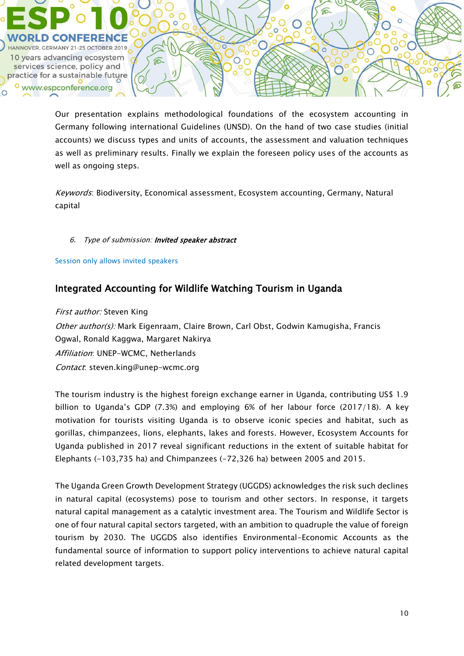

Our presentation explains methodological foundations of the ecosystem accounting in Germany following international Guidelines (UNSD). On the hand of two case studies (initial accounts) we discuss types and units of accounts, the assessment and valuation techniques as well as preliminary results. Finally we explain the foreseen policy uses of the accounts as well as ongoing steps.

Keywords: Biodiversity, Economical assessment, Ecosystem accounting, Germany, Natural capital

6. Type of submission: Invited speaker abstract

Session only allows invited speakers

## Integrated Accounting for Wildlife Watching Tourism in Uganda

**First author: Steven King** 

Other author(s): Mark Eigenraam, Claire Brown, Carl Obst, Godwin Kamugisha, Francis Ogwal, Ronald Kaggwa, Margaret Nakirya Affiliation: UNEP-WCMC, Netherlands

Contact: steven.king@unep-wcmc.org

The tourism industry is the highest foreign exchange earner in Uganda, contributing US\$ 1.9 billion to Uganda's GDP (7.3%) and employing 6% of her labour force (2017/18). A key motivation for tourists visiting Uganda is to observe iconic species and habitat, such as gorillas, chimpanzees, lions, elephants, lakes and forests. However, Ecosystem Accounts for Uganda published in 2017 reveal significant reductions in the extent of suitable habitat for Elephants (-103,735 ha) and Chimpanzees (-72,326 ha) between 2005 and 2015.

The Uganda Green Growth Development Strategy (UGGDS) acknowledges the risk such declines in natural capital (ecosystems) pose to tourism and other sectors. In response, it targets natural capital management as a catalytic investment area. The Tourism and Wildlife Sector is one of four natural capital sectors targeted, with an ambition to quadruple the value of foreign tourism by 2030. The UGGDS also identifies Environmental-Economic Accounts as the fundamental source of information to support policy interventions to achieve natural capital related development targets.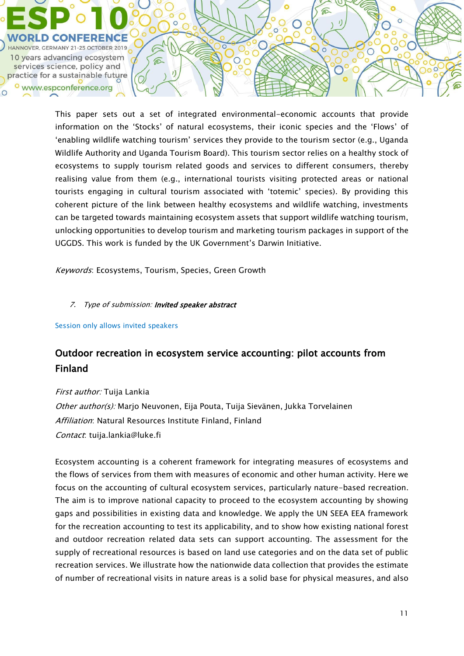

This paper sets out a set of integrated environmental-economic accounts that provide information on the 'Stocks' of natural ecosystems, their iconic species and the 'Flows' of 'enabling wildlife watching tourism' services they provide to the tourism sector (e.g., Uganda Wildlife Authority and Uganda Tourism Board). This tourism sector relies on a healthy stock of ecosystems to supply tourism related goods and services to different consumers, thereby realising value from them (e.g., international tourists visiting protected areas or national tourists engaging in cultural tourism associated with 'totemic' species). By providing this coherent picture of the link between healthy ecosystems and wildlife watching, investments can be targeted towards maintaining ecosystem assets that support wildlife watching tourism, unlocking opportunities to develop tourism and marketing tourism packages in support of the UGGDS. This work is funded by the UK Government's Darwin Initiative.

Keywords: Ecosystems, Tourism, Species, Green Growth

### 7. Type of submission: Invited speaker abstract

Session only allows invited speakers

## Outdoor recreation in ecosystem service accounting: pilot accounts from Finland

First author: Tuija Lankia Other author(s): Marjo Neuvonen, Eija Pouta, Tuija Sievänen, Jukka Torvelainen Affiliation: Natural Resources Institute Finland, Finland Contact: tuija.lankia@luke.fi

Ecosystem accounting is a coherent framework for integrating measures of ecosystems and the flows of services from them with measures of economic and other human activity. Here we focus on the accounting of cultural ecosystem services, particularly nature-based recreation. The aim is to improve national capacity to proceed to the ecosystem accounting by showing gaps and possibilities in existing data and knowledge. We apply the UN SEEA EEA framework for the recreation accounting to test its applicability, and to show how existing national forest and outdoor recreation related data sets can support accounting. The assessment for the supply of recreational resources is based on land use categories and on the data set of public recreation services. We illustrate how the nationwide data collection that provides the estimate of number of recreational visits in nature areas is a solid base for physical measures, and also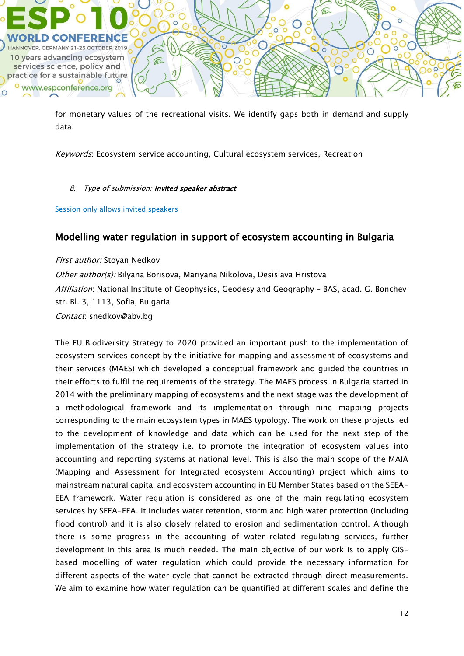

for monetary values of the recreational visits. We identify gaps both in demand and supply data.

Keywords: Ecosystem service accounting, Cultural ecosystem services, Recreation

### 8. Type of submission: Invited speaker abstract

Session only allows invited speakers

## Modelling water regulation in support of ecosystem accounting in Bulgaria

First author: Stoyan Nedkov Other author(s): Bilyana Borisova, Mariyana Nikolova, Desislava Hristova Affiliation: National Institute of Geophysics, Geodesy and Geography - BAS, acad, G. Bonchey str. Bl. 3, 1113, Sofia, Bulgaria Contact: snedkov@abv.bg

The EU Biodiversity Strategy to 2020 provided an important push to the implementation of ecosystem services concept by the initiative for mapping and assessment of ecosystems and their services (MAES) which developed a conceptual framework and guided the countries in their efforts to fulfil the requirements of the strategy. The MAES process in Bulgaria started in 2014 with the preliminary mapping of ecosystems and the next stage was the development of a methodological framework and its implementation through nine mapping projects corresponding to the main ecosystem types in MAES typology. The work on these projects led to the development of knowledge and data which can be used for the next step of the implementation of the strategy i.e. to promote the integration of ecosystem values into accounting and reporting systems at national level. This is also the main scope of the MAIA (Mapping and Assessment for Integrated ecosystem Accounting) project which aims to mainstream natural capital and ecosystem accounting in EU Member States based on the SEEA-EEA framework. Water regulation is considered as one of the main regulating ecosystem services by SEEA-EEA. It includes water retention, storm and high water protection (including flood control) and it is also closely related to erosion and sedimentation control. Although there is some progress in the accounting of water-related regulating services, further development in this area is much needed. The main objective of our work is to apply GISbased modelling of water regulation which could provide the necessary information for different aspects of the water cycle that cannot be extracted through direct measurements. We aim to examine how water regulation can be quantified at different scales and define the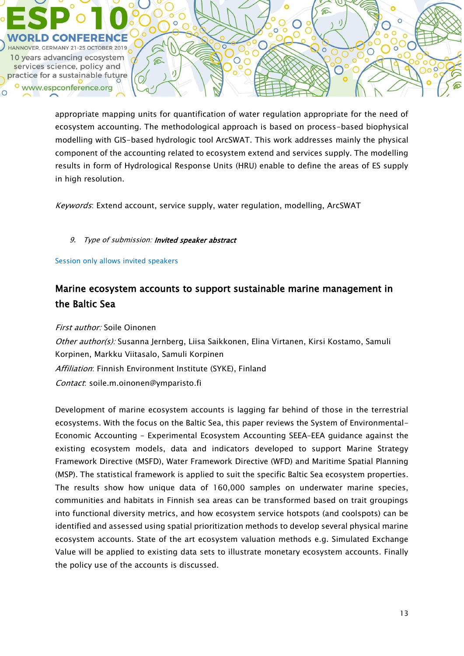

appropriate mapping units for quantification of water regulation appropriate for the need of ecosystem accounting. The methodological approach is based on process-based biophysical modelling with GIS-based hydrologic tool ArcSWAT. This work addresses mainly the physical component of the accounting related to ecosystem extend and services supply. The modelling results in form of Hydrological Response Units (HRU) enable to define the areas of ES supply in high resolution.

Keywords: Extend account, service supply, water regulation, modelling, ArcSWAT

### 9. Type of submission: Invited speaker abstract

Session only allows invited speakers

## Marine ecosystem accounts to support sustainable marine management in the Baltic Sea

First author: Soile Oinonen Other author(s): Susanna Jernberg, Liisa Saikkonen, Elina Virtanen, Kirsi Kostamo, Samuli Korpinen, Markku Viitasalo, Samuli Korpinen Affiliation: Finnish Environment Institute (SYKE), Finland Contact: soile.m.oinonen@ymparisto.fi

Development of marine ecosystem accounts is lagging far behind of those in the terrestrial ecosystems. With the focus on the Baltic Sea, this paper reviews the System of Environmental-Economic Accounting – Experimental Ecosystem Accounting SEEA–EEA guidance against the existing ecosystem models, data and indicators developed to support Marine Strategy Framework Directive (MSFD), Water Framework Directive (WFD) and Maritime Spatial Planning (MSP). The statistical framework is applied to suit the specific Baltic Sea ecosystem properties. The results show how unique data of 160,000 samples on underwater marine species, communities and habitats in Finnish sea areas can be transformed based on trait groupings into functional diversity metrics, and how ecosystem service hotspots (and coolspots) can be identified and assessed using spatial prioritization methods to develop several physical marine ecosystem accounts. State of the art ecosystem valuation methods e.g. Simulated Exchange Value will be applied to existing data sets to illustrate monetary ecosystem accounts. Finally the policy use of the accounts is discussed.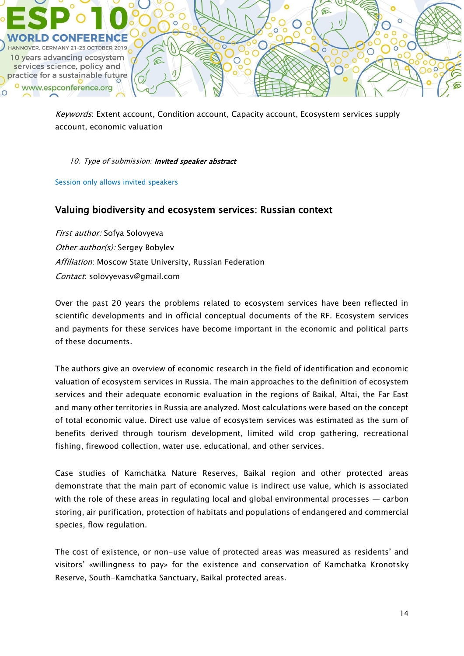

Keywords: Extent account, Condition account, Capacity account, Ecosystem services supply account, economic valuation

### 10. Type of submission: Invited speaker abstract

Session only allows invited speakers

## Valuing biodiversity and ecosystem services: Russian context

First author: Sofya Solovyeva Other author(s): Sergey Bobylev Affiliation: Moscow State University, Russian Federation Contact: solovyevasv@gmail.com

Over the past 20 years the problems related to ecosystem services have been reflected in scientific developments and in official conceptual documents of the RF. Ecosystem services and payments for these services have become important in the economic and political parts of these documents.

The authors give an overview of economic research in the field of identification and economic valuation of ecosystem services in Russia. The main approaches to the definition of ecosystem services and their adequate economic evaluation in the regions of Baikal, Altai, the Far East and many other territories in Russia are analyzed. Most calculations were based on the concept of total economic value. Direct use value of ecosystem services was estimated as the sum of benefits derived through tourism development, limited wild crop gathering, recreational fishing, firewood collection, water use. educational, and other services.

Case studies of Kamchatka Nature Reserves, Baikal region and other protected areas demonstrate that the main part of economic value is indirect use value, which is associated with the role of these areas in regulating local and global environmental processes — carbon storing, air purification, protection of habitats and populations of endangered and commercial species, flow regulation.

The cost of existence, or non-use value of protected areas was measured as residents' and visitors' «willingness to pay» for the existence and conservation of Kamchatka Kronotsky Reserve, South-Kamchatka Sanctuary, Baikal protected areas.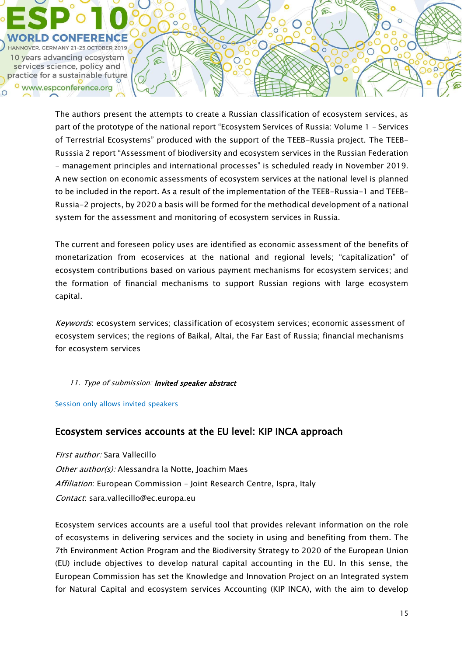

The authors present the attempts to create a Russian classification of ecosystem services, as part of the prototype of the national report "Ecosystem Services of Russia: Volume 1 – Services of Terrestrial Ecosystems" produced with the support of the TEEB-Russia project. The TEEB-Russsia 2 report "Assessment of biodiversity and ecosystem services in the Russian Federation - management principles and international processes" is scheduled ready in November 2019. A new section on economic assessments of ecosystem services at the national level is planned to be included in the report. As a result of the implementation of the TEEB-Russia-1 and TEEB-Russia-2 projects, by 2020 a basis will be formed for the methodical development of a national system for the assessment and monitoring of ecosystem services in Russia.

€

 $\bigcirc$ 

The current and foreseen policy uses are identified as economic assessment of the benefits of monetarization from ecoservices at the national and regional levels; "сapitalization" of ecosystem contributions based on various payment mechanisms for ecosystem services; and the formation of financial mechanisms to support Russian regions with large ecosystem capital.

Keywords: ecosystem services; classification of ecosystem services; economic assessment of ecosystem services; the regions of Baikal, Altai, the Far East of Russia; financial mechanisms for ecosystem services

#### 11. Type of submission: Invited speaker abstract

Session only allows invited speakers

## Ecosystem services accounts at the EU level: KIP INCA approach

First author: Sara Vallecillo Other author(s): Alessandra la Notte, Joachim Maes Affiliation: European Commission - Joint Research Centre, Ispra, Italy Contact: sara.vallecillo@ec.europa.eu

Ecosystem services accounts are a useful tool that provides relevant information on the role of ecosystems in delivering services and the society in using and benefiting from them. The 7th Environment Action Program and the Biodiversity Strategy to 2020 of the European Union (EU) include objectives to develop natural capital accounting in the EU. In this sense, the European Commission has set the Knowledge and Innovation Project on an Integrated system for Natural Capital and ecosystem services Accounting (KIP INCA), with the aim to develop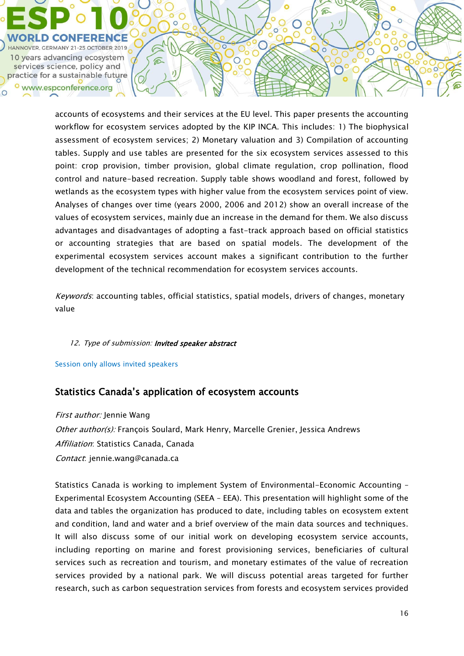

accounts of ecosystems and their services at the EU level. This paper presents the accounting workflow for ecosystem services adopted by the KIP INCA. This includes: 1) The biophysical assessment of ecosystem services; 2) Monetary valuation and 3) Compilation of accounting tables. Supply and use tables are presented for the six ecosystem services assessed to this point: crop provision, timber provision, global climate regulation, crop pollination, flood control and nature-based recreation. Supply table shows woodland and forest, followed by wetlands as the ecosystem types with higher value from the ecosystem services point of view. Analyses of changes over time (years 2000, 2006 and 2012) show an overall increase of the values of ecosystem services, mainly due an increase in the demand for them. We also discuss advantages and disadvantages of adopting a fast-track approach based on official statistics or accounting strategies that are based on spatial models. The development of the experimental ecosystem services account makes a significant contribution to the further development of the technical recommendation for ecosystem services accounts.

Keywords: accounting tables, official statistics, spatial models, drivers of changes, monetary value

## 12. Type of submission: Invited speaker abstract

Session only allows invited speakers

# Statistics Canada's application of ecosystem accounts

First author: Jennie Wang Other author(s): François Soulard, Mark Henry, Marcelle Grenier, Jessica Andrews Affiliation: Statistics Canada, Canada Contact: jennie.wang@canada.ca

Statistics Canada is working to implement System of Environmental-Economic Accounting – Experimental Ecosystem Accounting (SEEA – EEA). This presentation will highlight some of the data and tables the organization has produced to date, including tables on ecosystem extent and condition, land and water and a brief overview of the main data sources and techniques. It will also discuss some of our initial work on developing ecosystem service accounts, including reporting on marine and forest provisioning services, beneficiaries of cultural services such as recreation and tourism, and monetary estimates of the value of recreation services provided by a national park. We will discuss potential areas targeted for further research, such as carbon sequestration services from forests and ecosystem services provided